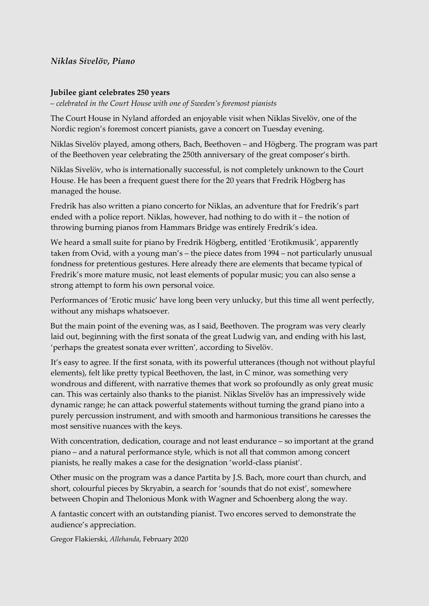## *Niklas Sivelöv, Piano*

#### **Jubilee giant celebrates 250 years**

*– celebrated in the Court House with one of Sweden's foremost pianists*

The Court House in Nyland afforded an enjoyable visit when Niklas Sivelöv, one of the Nordic region's foremost concert pianists, gave a concert on Tuesday evening.

Niklas Sivelöv played, among others, Bach, Beethoven – and Högberg. The program was part of the Beethoven year celebrating the 250th anniversary of the great composer's birth.

Niklas Sivelöv, who is internationally successful, is not completely unknown to the Court House. He has been a frequent guest there for the 20 years that Fredrik Högberg has managed the house.

Fredrik has also written a piano concerto for Niklas, an adventure that for Fredrik's part ended with a police report. Niklas, however, had nothing to do with it – the notion of throwing burning pianos from Hammars Bridge was entirely Fredrik's idea.

We heard a small suite for piano by Fredrik Högberg, entitled 'Erotikmusik', apparently taken from Ovid, with a young man's – the piece dates from 1994 – not particularly unusual fondness for pretentious gestures. Here already there are elements that became typical of Fredrik's more mature music, not least elements of popular music; you can also sense a strong attempt to form his own personal voice.

Performances of 'Erotic music' have long been very unlucky, but this time all went perfectly, without any mishaps whatsoever.

But the main point of the evening was, as I said, Beethoven. The program was very clearly laid out, beginning with the first sonata of the great Ludwig van, and ending with his last, 'perhaps the greatest sonata ever written', according to Sivelöv.

It's easy to agree. If the first sonata, with its powerful utterances (though not without playful elements), felt like pretty typical Beethoven, the last, in C minor, was something very wondrous and different, with narrative themes that work so profoundly as only great music can. This was certainly also thanks to the pianist. Niklas Sivelöv has an impressively wide dynamic range; he can attack powerful statements without turning the grand piano into a purely percussion instrument, and with smooth and harmonious transitions he caresses the most sensitive nuances with the keys.

With concentration, dedication, courage and not least endurance – so important at the grand piano – and a natural performance style, which is not all that common among concert pianists, he really makes a case for the designation 'world-class pianist'.

Other music on the program was a dance Partita by J.S. Bach, more court than church, and short, colourful pieces by Skryabin, a search for 'sounds that do not exist', somewhere between Chopin and Thelonious Monk with Wagner and Schoenberg along the way.

A fantastic concert with an outstanding pianist. Two encores served to demonstrate the audience's appreciation.

Gregor Flakierski, *Allehanda*, February 2020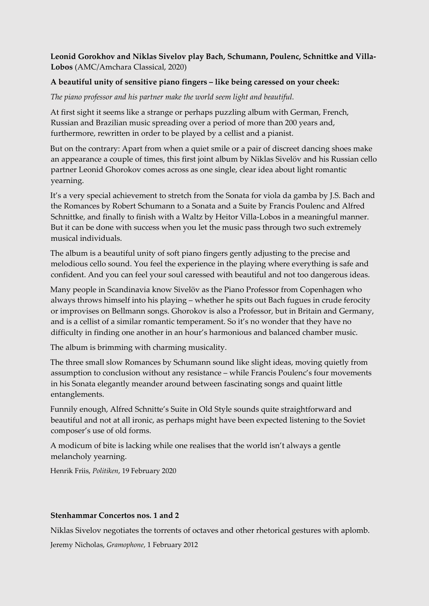# **Leonid Gorokhov and Niklas Sivelov play Bach, Schumann, Poulenc, Schnittke and Villa-Lobos** (AMC/Amchara Classical, 2020)

## **A beautiful unity of sensitive piano fingers – like being caressed on your cheek:**

## *The piano professor and his partner make the world seem light and beautiful.*

At first sight it seems like a strange or perhaps puzzling album with German, French, Russian and Brazilian music spreading over a period of more than 200 years and, furthermore, rewritten in order to be played by a cellist and a pianist.

But on the contrary: Apart from when a quiet smile or a pair of discreet dancing shoes make an appearance a couple of times, this first joint album by Niklas Sivelöv and his Russian cello partner Leonid Ghorokov comes across as one single, clear idea about light romantic yearning.

It's a very special achievement to stretch from the Sonata for viola da gamba by J.S. Bach and the Romances by Robert Schumann to a Sonata and a Suite by Francis Poulenc and Alfred Schnittke, and finally to finish with a Waltz by Heitor Villa-Lobos in a meaningful manner. But it can be done with success when you let the music pass through two such extremely musical individuals.

The album is a beautiful unity of soft piano fingers gently adjusting to the precise and melodious cello sound. You feel the experience in the playing where everything is safe and confident. And you can feel your soul caressed with beautiful and not too dangerous ideas.

Many people in Scandinavia know Sivelöv as the Piano Professor from Copenhagen who always throws himself into his playing – whether he spits out Bach fugues in crude ferocity or improvises on Bellmann songs. Ghorokov is also a Professor, but in Britain and Germany, and is a cellist of a similar romantic temperament. So it's no wonder that they have no difficulty in finding one another in an hour's harmonious and balanced chamber music.

The album is brimming with charming musicality.

The three small slow Romances by Schumann sound like slight ideas, moving quietly from assumption to conclusion without any resistance – while Francis Poulenc's four movements in his Sonata elegantly meander around between fascinating songs and quaint little entanglements.

Funnily enough, Alfred Schnitte's Suite in Old Style sounds quite straightforward and beautiful and not at all ironic, as perhaps might have been expected listening to the Soviet composer's use of old forms.

A modicum of bite is lacking while one realises that the world isn't always a gentle melancholy yearning.

Henrik Friis, *Politiken*, 19 February 2020

## **Stenhammar Concertos nos. 1 and 2**

Niklas Sivelov negotiates the torrents of octaves and other rhetorical gestures with aplomb.

Jeremy Nicholas, *Gramophone*, 1 February 2012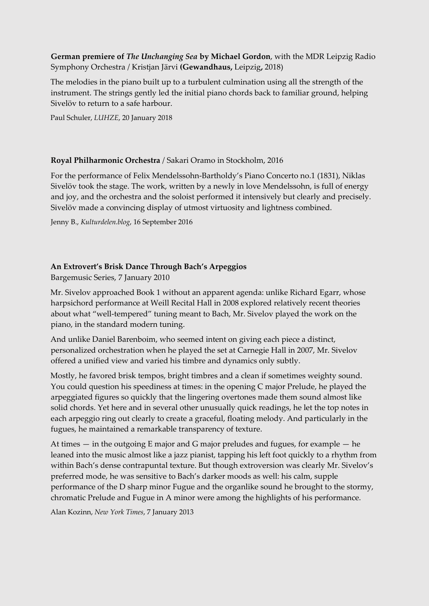**German premiere of** *The Unchanging Sea* **by Michael Gordon**, with the MDR Leipzig Radio Symphony Orchestra / Kristjan Järvi **(Gewandhaus,** Leipzig**,** 2018)

The melodies in the piano built up to a turbulent culmination using all the strength of the instrument. The strings gently led the initial piano chords back to familiar ground, helping Sivelöv to return to a safe harbour.

Paul Schuler, *LUHZE*, 20 January 2018

# **Royal Philharmonic Orchestra** / Sakari Oramo in Stockholm, 2016

For the performance of Felix Mendelssohn-Bartholdy's Piano Concerto no.1 (1831), Niklas Sivelöv took the stage. The work, written by a newly in love Mendelssohn, is full of energy and joy, and the orchestra and the soloist performed it intensively but clearly and precisely. Sivelöv made a convincing display of utmost virtuosity and lightness combined.

Jenny B., *Kulturdelen.blog*, 16 September 2016

# **An Extrovert's Brisk Dance Through Bach's Arpeggios**

Bargemusic Series, 7 January 2010

Mr. Sivelov approached Book 1 without an apparent agenda: unlike Richard Egarr, whose harpsichord performance at Weill Recital Hall in 2008 explored relatively recent theories about what "well-tempered" tuning meant to Bach, Mr. Sivelov played the work on the piano, in the standard modern tuning.

And unlike Daniel Barenboim, who seemed intent on giving each piece a distinct, personalized orchestration when he played the set at Carnegie Hall in 2007, Mr. Sivelov offered a unified view and varied his timbre and dynamics only subtly.

Mostly, he favored brisk tempos, bright timbres and a clean if sometimes weighty sound. You could question his speediness at times: in the opening C major Prelude, he played the arpeggiated figures so quickly that the lingering overtones made them sound almost like solid chords. Yet here and in several other unusually quick readings, he let the top notes in each arpeggio ring out clearly to create a graceful, floating melody. And particularly in the fugues, he maintained a remarkable transparency of texture.

At times — in the outgoing E major and G major preludes and fugues, for example — he leaned into the music almost like a jazz pianist, tapping his left foot quickly to a rhythm from within Bach's dense contrapuntal texture. But though extroversion was clearly Mr. Sivelov's preferred mode, he was sensitive to Bach's darker moods as well: his calm, supple performance of the D sharp minor Fugue and the organlike sound he brought to the stormy, chromatic Prelude and Fugue in A minor were among the highlights of his performance.

Alan Kozinn, *New York Times*, 7 January 2013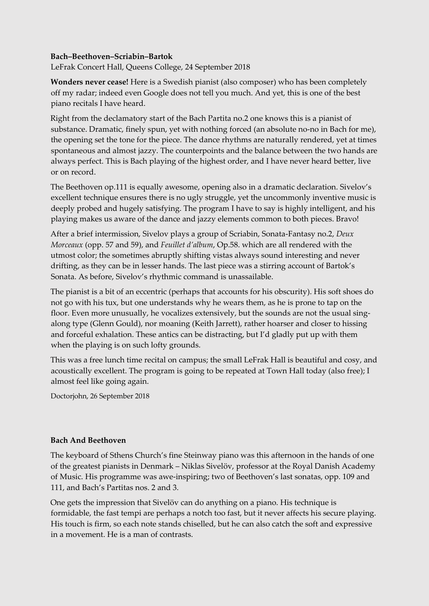## **Bach–Beethoven–Scriabin–Bartok**

LeFrak Concert Hall, Queens College, 24 September 2018

**Wonders never cease!** Here is a Swedish pianist (also composer) who has been completely off my radar; indeed even Google does not tell you much. And yet, this is one of the best piano recitals I have heard.

Right from the declamatory start of the Bach Partita no.2 one knows this is a pianist of substance. Dramatic, finely spun, yet with nothing forced (an absolute no-no in Bach for me), the opening set the tone for the piece. The dance rhythms are naturally rendered, yet at times spontaneous and almost jazzy. The counterpoints and the balance between the two hands are always perfect. This is Bach playing of the highest order, and I have never heard better, live or on record.

The Beethoven op.111 is equally awesome, opening also in a dramatic declaration. Sivelov's excellent technique ensures there is no ugly struggle, yet the uncommonly inventive music is deeply probed and hugely satisfying. The program I have to say is highly intelligent, and his playing makes us aware of the dance and jazzy elements common to both pieces. Bravo!

After a brief intermission, Sivelov plays a group of Scriabin, Sonata-Fantasy no.2, *Deux Morceaux* (opp. 57 and 59), and *Feuillet d'album*, Op.58. which are all rendered with the utmost color; the sometimes abruptly shifting vistas always sound interesting and never drifting, as they can be in lesser hands. The last piece was a stirring account of Bartok's Sonata. As before, Sivelov's rhythmic command is unassailable.

The pianist is a bit of an eccentric (perhaps that accounts for his obscurity). His soft shoes do not go with his tux, but one understands why he wears them, as he is prone to tap on the floor. Even more unusually, he vocalizes extensively, but the sounds are not the usual singalong type (Glenn Gould), nor moaning (Keith Jarrett), rather hoarser and closer to hissing and forceful exhalation. These antics can be distracting, but I'd gladly put up with them when the playing is on such lofty grounds.

This was a free lunch time recital on campus; the small LeFrak Hall is beautiful and cosy, and acoustically excellent. The program is going to be repeated at Town Hall today (also free); I almost feel like going again.

Doctorjohn, 26 September 2018

## **Bach And Beethoven**

The keyboard of Sthens Church's fine Steinway piano was this afternoon in the hands of one of the greatest pianists in Denmark – Niklas Sivelöv, professor at the Royal Danish Academy of Music. His programme was awe-inspiring; two of Beethoven's last sonatas, opp. 109 and 111, and Bach's Partitas nos. 2 and 3.

One gets the impression that Sivelöv can do anything on a piano. His technique is formidable, the fast tempi are perhaps a notch too fast, but it never affects his secure playing. His touch is firm, so each note stands chiselled, but he can also catch the soft and expressive in a movement. He is a man of contrasts.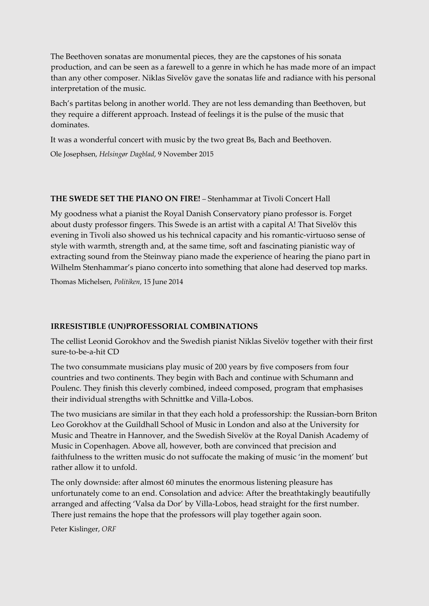The Beethoven sonatas are monumental pieces, they are the capstones of his sonata production, and can be seen as a farewell to a genre in which he has made more of an impact than any other composer. Niklas Sivelöv gave the sonatas life and radiance with his personal interpretation of the music.

Bach's partitas belong in another world. They are not less demanding than Beethoven, but they require a different approach. Instead of feelings it is the pulse of the music that dominates.

It was a wonderful concert with music by the two great Bs, Bach and Beethoven.

Ole Josephsen, *Helsingør Dagblad*, 9 November 2015

# **THE SWEDE SET THE PIANO ON FIRE!** – Stenhammar at Tivoli Concert Hall

My goodness what a pianist the Royal Danish Conservatory piano professor is. Forget about dusty professor fingers. This Swede is an artist with a capital A! That Sivelöv this evening in Tivoli also showed us his technical capacity and his romantic-virtuoso sense of style with warmth, strength and, at the same time, soft and fascinating pianistic way of extracting sound from the Steinway piano made the experience of hearing the piano part in Wilhelm Stenhammar's piano concerto into something that alone had deserved top marks.

Thomas Michelsen, *Politiken*, 15 June 2014

# **IRRESISTIBLE (UN)PROFESSORIAL COMBINATIONS**

The cellist Leonid Gorokhov and the Swedish pianist Niklas Sivelöv together with their first sure-to-be-a-hit CD

The two consummate musicians play music of 200 years by five composers from four countries and two continents. They begin with Bach and continue with Schumann and Poulenc. They finish this cleverly combined, indeed composed, program that emphasises their individual strengths with Schnittke and Villa-Lobos.

The two musicians are similar in that they each hold a professorship: the Russian-born Briton Leo Gorokhov at the Guildhall School of Music in London and also at the University for Music and Theatre in Hannover, and the Swedish Sivelöv at the Royal Danish Academy of Music in Copenhagen. Above all, however, both are convinced that precision and faithfulness to the written music do not suffocate the making of music 'in the moment' but rather allow it to unfold.

The only downside: after almost 60 minutes the enormous listening pleasure has unfortunately come to an end. Consolation and advice: After the breathtakingly beautifully arranged and affecting 'Valsa da Dor' by Villa-Lobos, head straight for the first number. There just remains the hope that the professors will play together again soon.

Peter Kislinger, *ORF*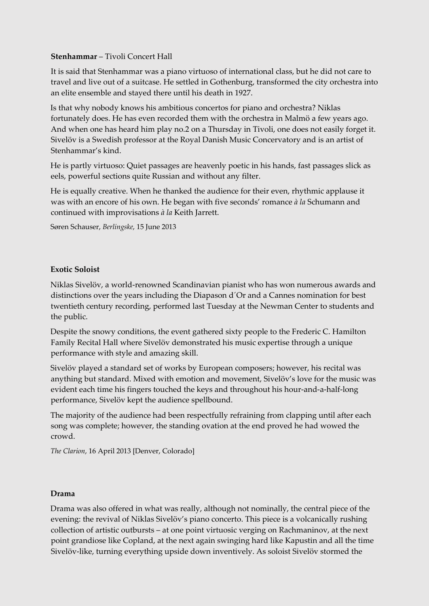# **Stenhammar** – Tivoli Concert Hall

It is said that Stenhammar was a piano virtuoso of international class, but he did not care to travel and live out of a suitcase. He settled in Gothenburg, transformed the city orchestra into an elite ensemble and stayed there until his death in 1927.

Is that why nobody knows his ambitious concertos for piano and orchestra? Niklas fortunately does. He has even recorded them with the orchestra in Malmö a few years ago. And when one has heard him play no.2 on a Thursday in Tivoli, one does not easily forget it. Sivelöv is a Swedish professor at the Royal Danish Music Concervatory and is an artist of Stenhammar's kind.

He is partly virtuoso: Quiet passages are heavenly poetic in his hands, fast passages slick as eels, powerful sections quite Russian and without any filter.

He is equally creative. When he thanked the audience for their even, rhythmic applause it was with an encore of his own. He began with five seconds' romance *à la* Schumann and continued with improvisations *à la* Keith Jarrett.

Søren Schauser, *Berlingske*, 15 June 2013

## **Exotic Soloist**

Niklas Sivelöv, a world-renowned Scandinavian pianist who has won numerous awards and distinctions over the years including the Diapason d´Or and a Cannes nomination for best twentieth century recording, performed last Tuesday at the Newman Center to students and the public.

Despite the snowy conditions, the event gathered sixty people to the Frederic C. Hamilton Family Recital Hall where Sivelöv demonstrated his music expertise through a unique performance with style and amazing skill.

Sivelöv played a standard set of works by European composers; however, his recital was anything but standard. Mixed with emotion and movement, Sivelöv's love for the music was evident each time his fingers touched the keys and throughout his hour-and-a-half-long performance, Sivelöv kept the audience spellbound.

The majority of the audience had been respectfully refraining from clapping until after each song was complete; however, the standing ovation at the end proved he had wowed the crowd.

*The Clarion*, 16 April 2013 [Denver, Colorado]

## **Drama**

Drama was also offered in what was really, although not nominally, the central piece of the evening: the revival of Niklas Sivelöv's piano concerto. This piece is a volcanically rushing collection of artistic outbursts – at one point virtuosic verging on Rachmaninov, at the next point grandiose like Copland, at the next again swinging hard like Kapustin and all the time Sivelöv-like, turning everything upside down inventively. As soloist Sivelöv stormed the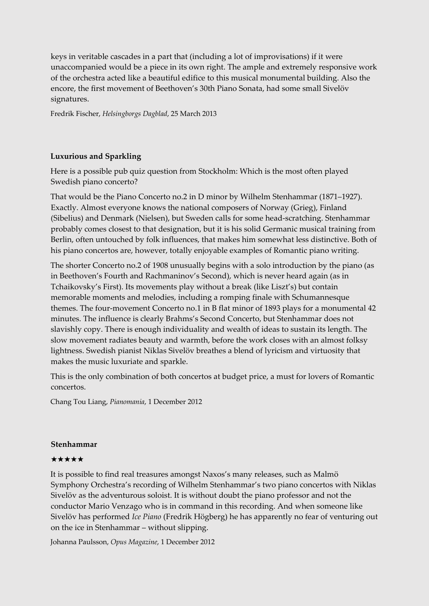keys in veritable cascades in a part that (including a lot of improvisations) if it were unaccompanied would be a piece in its own right. The ample and extremely responsive work of the orchestra acted like a beautiful edifice to this musical monumental building. Also the encore, the first movement of Beethoven's 30th Piano Sonata, had some small Sivelöv signatures.

Fredrik Fischer, *Helsingborgs Dagblad*, 25 March 2013

## **Luxurious and Sparkling**

Here is a possible pub quiz question from Stockholm: Which is the most often played Swedish piano concerto?

That would be the Piano Concerto no.2 in D minor by Wilhelm Stenhammar (1871–1927). Exactly. Almost everyone knows the national composers of Norway (Grieg), Finland (Sibelius) and Denmark (Nielsen), but Sweden calls for some head-scratching. Stenhammar probably comes closest to that designation, but it is his solid Germanic musical training from Berlin, often untouched by folk influences, that makes him somewhat less distinctive. Both of his piano concertos are, however, totally enjoyable examples of Romantic piano writing.

The shorter Concerto no.2 of 1908 unusually begins with a solo introduction by the piano (as in Beethoven's Fourth and Rachmaninov's Second), which is never heard again (as in Tchaikovsky's First). Its movements play without a break (like Liszt's) but contain memorable moments and melodies, including a romping finale with Schumannesque themes. The four-movement Concerto no.1 in B flat minor of 1893 plays for a monumental 42 minutes. The influence is clearly Brahms's Second Concerto, but Stenhammar does not slavishly copy. There is enough individuality and wealth of ideas to sustain its length. The slow movement radiates beauty and warmth, before the work closes with an almost folksy lightness. Swedish pianist Niklas Sivelöv breathes a blend of lyricism and virtuosity that makes the music luxuriate and sparkle.

This is the only combination of both concertos at budget price, a must for lovers of Romantic concertos.

Chang Tou Liang, *Pianomania*, 1 December 2012

## **Stenhammar**

## ★★★★★

It is possible to find real treasures amongst Naxos's many releases, such as Malmö Symphony Orchestra's recording of Wilhelm Stenhammar's two piano concertos with Niklas Sivelöv as the adventurous soloist. It is without doubt the piano professor and not the conductor Mario Venzago who is in command in this recording. And when someone like Sivelöv has performed *Ice Piano* (Fredrik Högberg) he has apparently no fear of venturing out on the ice in Stenhammar – without slipping.

Johanna Paulsson, *Opus Magazine*, 1 December 2012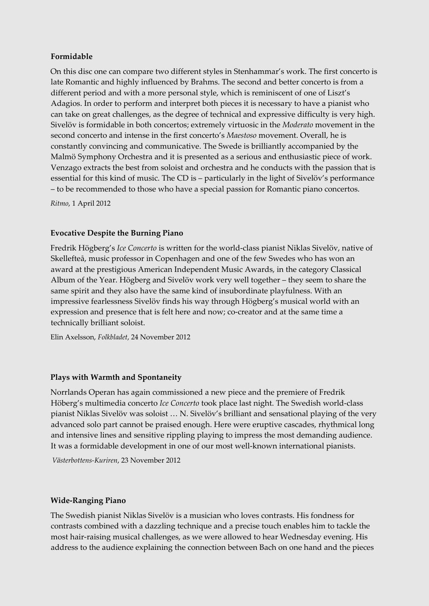## **Formidable**

On this disc one can compare two different styles in Stenhammar's work. The first concerto is late Romantic and highly influenced by Brahms. The second and better concerto is from a different period and with a more personal style, which is reminiscent of one of Liszt's Adagios. In order to perform and interpret both pieces it is necessary to have a pianist who can take on great challenges, as the degree of technical and expressive difficulty is very high. Sivelöv is formidable in both concertos; extremely virtuosic in the *Moderato* movement in the second concerto and intense in the first concerto's *Maestoso* movement. Overall, he is constantly convincing and communicative. The Swede is brilliantly accompanied by the Malmö Symphony Orchestra and it is presented as a serious and enthusiastic piece of work. Venzago extracts the best from soloist and orchestra and he conducts with the passion that is essential for this kind of music. The CD is – particularly in the light of Sivelöv's performance – to be recommended to those who have a special passion for Romantic piano concertos.

*Ritmo*, 1 April 2012

## **Evocative Despite the Burning Piano**

Fredrik Högberg's *Ice Concerto* is written for the world-class pianist Niklas Sivelöv, native of Skellefteå, music professor in Copenhagen and one of the few Swedes who has won an award at the prestigious American Independent Music Awards, in the category Classical Album of the Year. Högberg and Sivelöv work very well together – they seem to share the same spirit and they also have the same kind of insubordinate playfulness. With an impressive fearlessness Sivelöv finds his way through Högberg's musical world with an expression and presence that is felt here and now; co-creator and at the same time a technically brilliant soloist.

Elin Axelsson, *Folkbladet*, 24 November 2012

## **Plays with Warmth and Spontaneity**

Norrlands Operan has again commissioned a new piece and the premiere of Fredrik Höberg's multimedia concerto *Ice Concerto* took place last night. The Swedish world-class pianist Niklas Sivelöv was soloist … N. Sivelöv's brilliant and sensational playing of the very advanced solo part cannot be praised enough. Here were eruptive cascades, rhythmical long and intensive lines and sensitive rippling playing to impress the most demanding audience. It was a formidable development in one of our most well-known international pianists.

*Västerbottens-Kuriren*, 23 November 2012

## **Wide-Ranging Piano**

The Swedish pianist Niklas Sivelöv is a musician who loves contrasts. His fondness for contrasts combined with a dazzling technique and a precise touch enables him to tackle the most hair-raising musical challenges, as we were allowed to hear Wednesday evening. His address to the audience explaining the connection between Bach on one hand and the pieces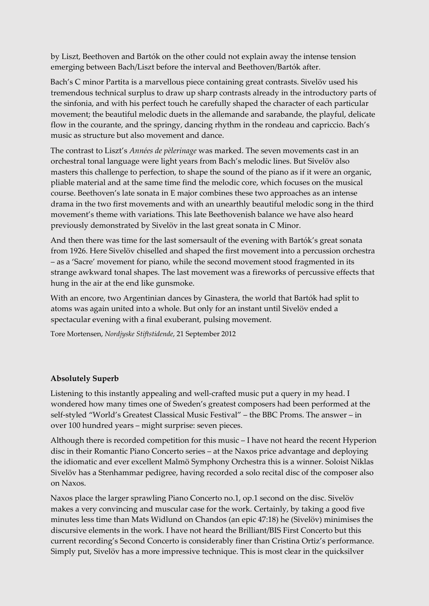by Liszt, Beethoven and Bartók on the other could not explain away the intense tension emerging between Bach/Liszt before the interval and Beethoven/Bartók after.

Bach's C minor Partita is a marvellous piece containing great contrasts. Sivelöv used his tremendous technical surplus to draw up sharp contrasts already in the introductory parts of the sinfonia, and with his perfect touch he carefully shaped the character of each particular movement; the beautiful melodic duets in the allemande and sarabande, the playful, delicate flow in the courante, and the springy, dancing rhythm in the rondeau and capriccio. Bach's music as structure but also movement and dance.

The contrast to Liszt's *Années de pèlerinage* was marked. The seven movements cast in an orchestral tonal language were light years from Bach's melodic lines. But Sivelöv also masters this challenge to perfection, to shape the sound of the piano as if it were an organic, pliable material and at the same time find the melodic core, which focuses on the musical course. Beethoven's late sonata in E major combines these two approaches as an intense drama in the two first movements and with an unearthly beautiful melodic song in the third movement's theme with variations. This late Beethovenish balance we have also heard previously demonstrated by Sivelöv in the last great sonata in C Minor.

And then there was time for the last somersault of the evening with Bartók's great sonata from 1926. Here Sivelöv chiselled and shaped the first movement into a percussion orchestra – as a 'Sacre' movement for piano, while the second movement stood fragmented in its strange awkward tonal shapes. The last movement was a fireworks of percussive effects that hung in the air at the end like gunsmoke.

With an encore, two Argentinian dances by Ginastera, the world that Bartók had split to atoms was again united into a whole. But only for an instant until Sivelöv ended a spectacular evening with a final exuberant, pulsing movement.

Tore Mortensen, *Nordjyske Stiftstidende*, 21 September 2012

## **Absolutely Superb**

Listening to this instantly appealing and well-crafted music put a query in my head. I wondered how many times one of Sweden's greatest composers had been performed at the self-styled "World's Greatest Classical Music Festival" – the BBC Proms. The answer – in over 100 hundred years – might surprise: seven pieces.

Although there is recorded competition for this music – I have not heard the recent Hyperion disc in their Romantic Piano Concerto series – at the Naxos price advantage and deploying the idiomatic and ever excellent Malmö Symphony Orchestra this is a winner. Soloist Niklas Sivelöv has a Stenhammar pedigree, having recorded a solo recital disc of the composer also on Naxos.

Naxos place the larger sprawling Piano Concerto no.1, op.1 second on the disc. Sivelöv makes a very convincing and muscular case for the work. Certainly, by taking a good five minutes less time than Mats Widlund on Chandos (an epic 47:18) he (Sivelöv) minimises the discursive elements in the work. I have not heard the Brilliant/BIS First Concerto but this current recording's Second Concerto is considerably finer than Cristina Ortiz's performance. Simply put, Sivelöv has a more impressive technique. This is most clear in the quicksilver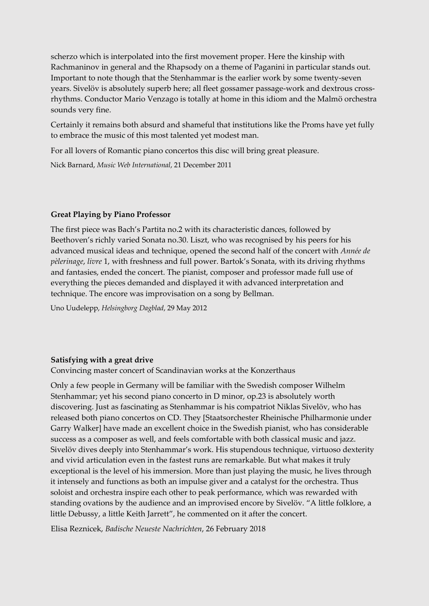scherzo which is interpolated into the first movement proper. Here the kinship with Rachmaninov in general and the Rhapsody on a theme of Paganini in particular stands out. Important to note though that the Stenhammar is the earlier work by some twenty-seven years. Sivelöv is absolutely superb here; all fleet gossamer passage-work and dextrous crossrhythms. Conductor Mario Venzago is totally at home in this idiom and the Malmö orchestra sounds very fine.

Certainly it remains both absurd and shameful that institutions like the Proms have yet fully to embrace the music of this most talented yet modest man.

For all lovers of Romantic piano concertos this disc will bring great pleasure.

Nick Barnard, *Music Web International*, 21 December 2011

## **Great Playing by Piano Professor**

The first piece was Bach's Partita no.2 with its characteristic dances, followed by Beethoven's richly varied Sonata no.30. Liszt, who was recognised by his peers for his advanced musical ideas and technique, opened the second half of the concert with *Année de pèlerinage*, *livre* 1, with freshness and full power. Bartok's Sonata, with its driving rhythms and fantasies, ended the concert. The pianist, composer and professor made full use of everything the pieces demanded and displayed it with advanced interpretation and technique. The encore was improvisation on a song by Bellman.

Uno Uudelepp, *Helsingborg Dagblad*, 29 May 2012

# **Satisfying with a great drive**

Convincing master concert of Scandinavian works at the Konzerthaus

Only a few people in Germany will be familiar with the Swedish composer Wilhelm Stenhammar; yet his second piano concerto in D minor, op.23 is absolutely worth discovering. Just as fascinating as Stenhammar is his compatriot Niklas Sivelöv, who has released both piano concertos on CD. They [Staatsorchester Rheinische Philharmonie under Garry Walker] have made an excellent choice in the Swedish pianist, who has considerable success as a composer as well, and feels comfortable with both classical music and jazz. Sivelöv dives deeply into Stenhammar's work. His stupendous technique, virtuoso dexterity and vivid articulation even in the fastest runs are remarkable. But what makes it truly exceptional is the level of his immersion. More than just playing the music, he lives through it intensely and functions as both an impulse giver and a catalyst for the orchestra. Thus soloist and orchestra inspire each other to peak performance, which was rewarded with standing ovations by the audience and an improvised encore by Sivelöv. "A little folklore, a little Debussy, a little Keith Jarrett", he commented on it after the concert.

Elisa Reznicek, *Badische Neueste Nachrichten*, 26 February 2018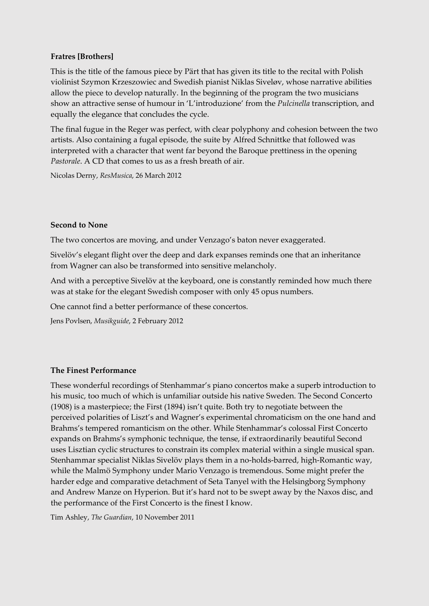# **Fratres [Brothers]**

This is the title of the famous piece by Pärt that has given its title to the recital with Polish violinist Szymon Krzeszowiec and Swedish pianist Niklas Siveløv, whose narrative abilities allow the piece to develop naturally. In the beginning of the program the two musicians show an attractive sense of humour in 'L'introduzione' from the *Pulcinella* transcription, and equally the elegance that concludes the cycle.

The final fugue in the Reger was perfect, with clear polyphony and cohesion between the two artists. Also containing a fugal episode, the suite by Alfred Schnittke that followed was interpreted with a character that went far beyond the Baroque prettiness in the opening *Pastorale*. A CD that comes to us as a fresh breath of air.

Nicolas Derny, *ResMusica*, 26 March 2012

## **Second to None**

The two concertos are moving, and under Venzago's baton never exaggerated.

Sivelöv's elegant flight over the deep and dark expanses reminds one that an inheritance from Wagner can also be transformed into sensitive melancholy.

And with a perceptive Sivelöv at the keyboard, one is constantly reminded how much there was at stake for the elegant Swedish composer with only 45 opus numbers.

One cannot find a better performance of these concertos.

Jens Povlsen, *Musikguide*, 2 February 2012

## **The Finest Performance**

These wonderful recordings of Stenhammar's piano concertos make a superb introduction to his music, too much of which is unfamiliar outside his native Sweden. The Second Concerto (1908) is a masterpiece; the First (1894) isn't quite. Both try to negotiate between the perceived polarities of Liszt's and Wagner's experimental chromaticism on the one hand and Brahms's tempered romanticism on the other. While Stenhammar's colossal First Concerto expands on Brahms's symphonic technique, the tense, if extraordinarily beautiful Second uses Lisztian cyclic structures to constrain its complex material within a single musical span. Stenhammar specialist Niklas Sivelöv plays them in a no-holds-barred, high-Romantic way, while the Malmö Symphony under Mario Venzago is tremendous. Some might prefer the harder edge and comparative detachment of Seta Tanyel with the Helsingborg Symphony and Andrew Manze on Hyperion. But it's hard not to be swept away by the Naxos disc, and the performance of the First Concerto is the finest I know.

Tim Ashley, *The Guardian*, 10 November 2011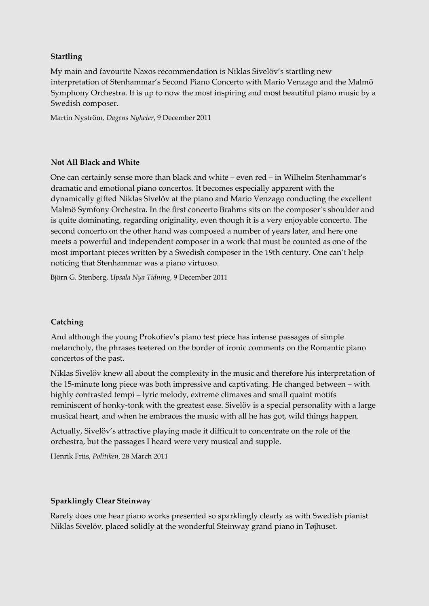# **Startling**

My main and favourite Naxos recommendation is Niklas Sivelöv's startling new interpretation of Stenhammar's Second Piano Concerto with Mario Venzago and the Malmö Symphony Orchestra. It is up to now the most inspiring and most beautiful piano music by a Swedish composer.

Martin Nyström, *Dagens Nyheter*, 9 December 2011

## **Not All Black and White**

One can certainly sense more than black and white – even red – in Wilhelm Stenhammar's dramatic and emotional piano concertos. It becomes especially apparent with the dynamically gifted Niklas Sivelöv at the piano and Mario Venzago conducting the excellent Malmö Symfony Orchestra. In the first concerto Brahms sits on the composer's shoulder and is quite dominating, regarding originality, even though it is a very enjoyable concerto. The second concerto on the other hand was composed a number of years later, and here one meets a powerful and independent composer in a work that must be counted as one of the most important pieces written by a Swedish composer in the 19th century. One can't help noticing that Stenhammar was a piano virtuoso.

Björn G. Stenberg, *Upsala Nya Tidning*, 9 December 2011

# **Catching**

And although the young Prokofiev's piano test piece has intense passages of simple melancholy, the phrases teetered on the border of ironic comments on the Romantic piano concertos of the past.

Niklas Sivelöv knew all about the complexity in the music and therefore his interpretation of the 15-minute long piece was both impressive and captivating. He changed between – with highly contrasted tempi – lyric melody, extreme climaxes and small quaint motifs reminiscent of honky-tonk with the greatest ease. Sivelöv is a special personality with a large musical heart, and when he embraces the music with all he has got, wild things happen.

Actually, Sivelöv's attractive playing made it difficult to concentrate on the role of the orchestra, but the passages I heard were very musical and supple.

Henrik Friis, *Politiken*, 28 March 2011

## **Sparklingly Clear Steinway**

Rarely does one hear piano works presented so sparklingly clearly as with Swedish pianist Niklas Sivelöv, placed solidly at the wonderful Steinway grand piano in Tøjhuset.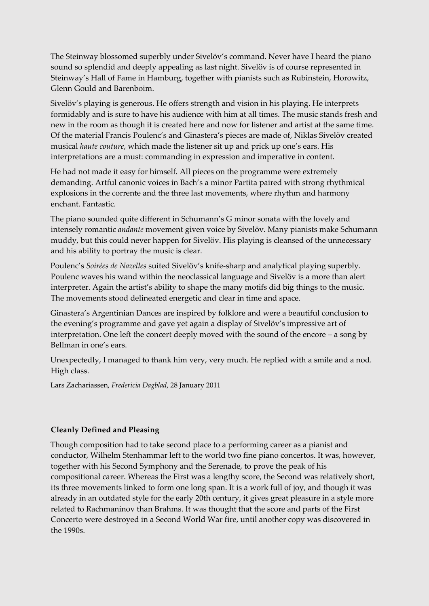The Steinway blossomed superbly under Sivelöv's command. Never have I heard the piano sound so splendid and deeply appealing as last night. Sivelöv is of course represented in Steinway's Hall of Fame in Hamburg, together with pianists such as Rubinstein, Horowitz, Glenn Gould and Barenboim.

Sivelöv's playing is generous. He offers strength and vision in his playing. He interprets formidably and is sure to have his audience with him at all times. The music stands fresh and new in the room as though it is created here and now for listener and artist at the same time. Of the material Francis Poulenc's and Ginastera's pieces are made of, Niklas Sivelöv created musical *haute couture*, which made the listener sit up and prick up one's ears. His interpretations are a must: commanding in expression and imperative in content.

He had not made it easy for himself. All pieces on the programme were extremely demanding. Artful canonic voices in Bach's a minor Partita paired with strong rhythmical explosions in the corrente and the three last movements, where rhythm and harmony enchant. Fantastic.

The piano sounded quite different in Schumann's G minor sonata with the lovely and intensely romantic *andante* movement given voice by Sivelöv. Many pianists make Schumann muddy, but this could never happen for Sivelöv. His playing is cleansed of the unnecessary and his ability to portray the music is clear.

Poulenc's *Soirées de Nazelles* suited Sivelöv's knife-sharp and analytical playing superbly. Poulenc waves his wand within the neoclassical language and Sivelöv is a more than alert interpreter. Again the artist's ability to shape the many motifs did big things to the music. The movements stood delineated energetic and clear in time and space.

Ginastera's Argentinian Dances are inspired by folklore and were a beautiful conclusion to the evening's programme and gave yet again a display of Sivelöv's impressive art of interpretation. One left the concert deeply moved with the sound of the encore – a song by Bellman in one's ears.

Unexpectedly, I managed to thank him very, very much. He replied with a smile and a nod. High class.

Lars Zachariassen, *Fredericia Dagblad*, 28 January 2011

## **Cleanly Defined and Pleasing**

Though composition had to take second place to a performing career as a pianist and conductor, Wilhelm Stenhammar left to the world two fine piano concertos. It was, however, together with his Second Symphony and the Serenade, to prove the peak of his compositional career. Whereas the First was a lengthy score, the Second was relatively short, its three movements linked to form one long span. It is a work full of joy, and though it was already in an outdated style for the early 20th century, it gives great pleasure in a style more related to Rachmaninov than Brahms. It was thought that the score and parts of the First Concerto were destroyed in a Second World War fire, until another copy was discovered in the 1990s.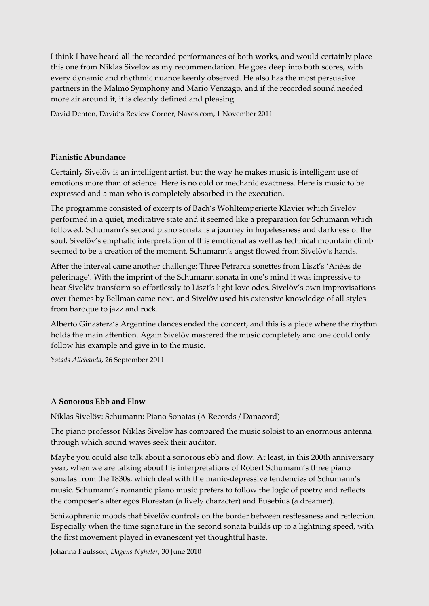I think I have heard all the recorded performances of both works, and would certainly place this one from Niklas Sivelov as my recommendation. He goes deep into both scores, with every dynamic and rhythmic nuance keenly observed. He also has the most persuasive partners in the Malmö Symphony and Mario Venzago, and if the recorded sound needed more air around it, it is cleanly defined and pleasing.

David Denton, David's Review Corner, Naxos.com, 1 November 2011

## **Pianistic Abundance**

Certainly Sivelöv is an intelligent artist. but the way he makes music is intelligent use of emotions more than of science. Here is no cold or mechanic exactness. Here is music to be expressed and a man who is completely absorbed in the execution.

The programme consisted of excerpts of Bach's Wohltemperierte Klavier which Sivelöv performed in a quiet, meditative state and it seemed like a preparation for Schumann which followed. Schumann's second piano sonata is a journey in hopelessness and darkness of the soul. Sivelöv's emphatic interpretation of this emotional as well as technical mountain climb seemed to be a creation of the moment. Schumann's angst flowed from Sivelöv's hands.

After the interval came another challenge: Three Petrarca sonettes from Liszt's 'Anées de pèlerinage'. With the imprint of the Schumann sonata in one's mind it was impressive to hear Sivelöv transform so effortlessly to Liszt's light love odes. Sivelöv's own improvisations over themes by Bellman came next, and Sivelöv used his extensive knowledge of all styles from baroque to jazz and rock.

Alberto Ginastera's Argentine dances ended the concert, and this is a piece where the rhythm holds the main attention. Again Sivelöv mastered the music completely and one could only follow his example and give in to the music.

*Ystads Allehanda*, 26 September 2011

## **A Sonorous Ebb and Flow**

Niklas Sivelöv: Schumann: Piano Sonatas (A Records / Danacord)

The piano professor Niklas Sivelöv has compared the music soloist to an enormous antenna through which sound waves seek their auditor.

Maybe you could also talk about a sonorous ebb and flow. At least, in this 200th anniversary year, when we are talking about his interpretations of Robert Schumann's three piano sonatas from the 1830s, which deal with the manic-depressive tendencies of Schumann's music. Schumann's romantic piano music prefers to follow the logic of poetry and reflects the composer's alter egos Florestan (a lively character) and Eusebius (a dreamer).

Schizophrenic moods that Sivelöv controls on the border between restlessness and reflection. Especially when the time signature in the second sonata builds up to a lightning speed, with the first movement played in evanescent yet thoughtful haste.

Johanna Paulsson, *Dagens Nyheter*, 30 June 2010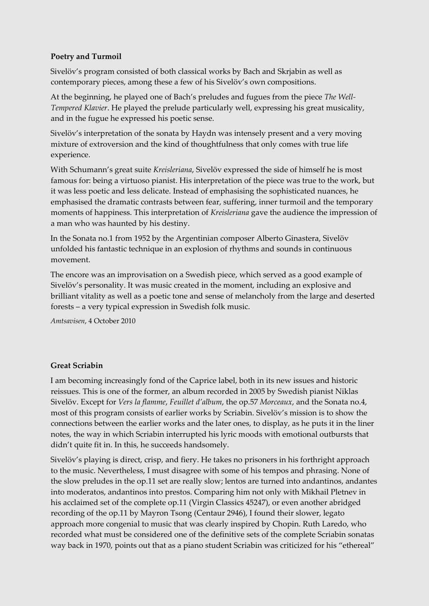## **Poetry and Turmoil**

Sivelöv's program consisted of both classical works by Bach and Skrjabin as well as contemporary pieces, among these a few of his Sivelöv's own compositions.

At the beginning, he played one of Bach's preludes and fugues from the piece *The Well-Tempered Klavier*. He played the prelude particularly well, expressing his great musicality, and in the fugue he expressed his poetic sense.

Sivelöv's interpretation of the sonata by Haydn was intensely present and a very moving mixture of extroversion and the kind of thoughtfulness that only comes with true life experience.

With Schumann's great suite *Kreisleriana*, Sivelöv expressed the side of himself he is most famous for: being a virtuoso pianist. His interpretation of the piece was true to the work, but it was less poetic and less delicate. Instead of emphasising the sophisticated nuances, he emphasised the dramatic contrasts between fear, suffering, inner turmoil and the temporary moments of happiness. This interpretation of *Kreisleriana* gave the audience the impression of a man who was haunted by his destiny.

In the Sonata no.1 from 1952 by the Argentinian composer Alberto Ginastera, Sivelöv unfolded his fantastic technique in an explosion of rhythms and sounds in continuous movement.

The encore was an improvisation on a Swedish piece, which served as a good example of Sivelöv's personality. It was music created in the moment, including an explosive and brilliant vitality as well as a poetic tone and sense of melancholy from the large and deserted forests – a very typical expression in Swedish folk music.

*Amtsavisen*, 4 October 2010

## **Great Scriabin**

I am becoming increasingly fond of the Caprice label, both in its new issues and historic reissues. This is one of the former, an album recorded in 2005 by Swedish pianist Niklas Sivelöv. Except for *Vers la flamme*, *Feuillet d'album*, the op.57 *Morceaux*, and the Sonata no.4, most of this program consists of earlier works by Scriabin. Sivelöv's mission is to show the connections between the earlier works and the later ones, to display, as he puts it in the liner notes, the way in which Scriabin interrupted his lyric moods with emotional outbursts that didn't quite fit in. In this, he succeeds handsomely.

Sivelöv's playing is direct, crisp, and fiery. He takes no prisoners in his forthright approach to the music. Nevertheless, I must disagree with some of his tempos and phrasing. None of the slow preludes in the op.11 set are really slow; lentos are turned into andantinos, andantes into moderatos, andantinos into prestos. Comparing him not only with Mikhail Pletnev in his acclaimed set of the complete op.11 (Virgin Classics 45247), or even another abridged recording of the op.11 by Mayron Tsong (Centaur 2946), I found their slower, legato approach more congenial to music that was clearly inspired by Chopin. Ruth Laredo, who recorded what must be considered one of the definitive sets of the complete Scriabin sonatas way back in 1970, points out that as a piano student Scriabin was criticized for his "ethereal"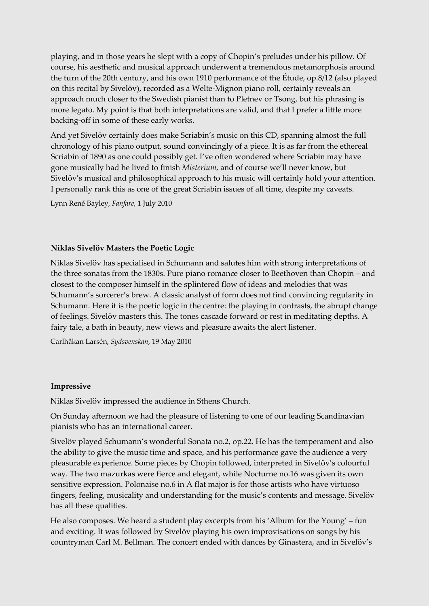playing, and in those years he slept with a copy of Chopin's preludes under his pillow. Of course, his aesthetic and musical approach underwent a tremendous metamorphosis around the turn of the 20th century, and his own 1910 performance of the Étude, op.8/12 (also played on this recital by Sivelöv), recorded as a Welte-Mignon piano roll, certainly reveals an approach much closer to the Swedish pianist than to Pletnev or Tsong, but his phrasing is more legato. My point is that both interpretations are valid, and that I prefer a little more backing-off in some of these early works.

And yet Sivelöv certainly does make Scriabin's music on this CD, spanning almost the full chronology of his piano output, sound convincingly of a piece. It is as far from the ethereal Scriabin of 1890 as one could possibly get. I've often wondered where Scriabin may have gone musically had he lived to finish *Misterium*, and of course we'll never know, but Sivelöv's musical and philosophical approach to his music will certainly hold your attention. I personally rank this as one of the great Scriabin issues of all time, despite my caveats.

Lynn René Bayley, *Fanfare*, 1 July 2010

## **Niklas Sivelöv Masters the Poetic Logic**

Niklas Sivelöv has specialised in Schumann and salutes him with strong interpretations of the three sonatas from the 1830s. Pure piano romance closer to Beethoven than Chopin – and closest to the composer himself in the splintered flow of ideas and melodies that was Schumann's sorcerer's brew. A classic analyst of form does not find convincing regularity in Schumann. Here it is the poetic logic in the centre: the playing in contrasts, the abrupt change of feelings. Sivelöv masters this. The tones cascade forward or rest in meditating depths. A fairy tale, a bath in beauty, new views and pleasure awaits the alert listener.

Carlhåkan Larsén, *Sydsvenskan*, 19 May 2010

## **Impressive**

Niklas Sivelöv impressed the audience in Sthens Church.

On Sunday afternoon we had the pleasure of listening to one of our leading Scandinavian pianists who has an international career.

Sivelöv played Schumann's wonderful Sonata no.2, op.22. He has the temperament and also the ability to give the music time and space, and his performance gave the audience a very pleasurable experience. Some pieces by Chopin followed, interpreted in Sivelöv's colourful way. The two mazurkas were fierce and elegant, while Nocturne no.16 was given its own sensitive expression. Polonaise no.6 in A flat major is for those artists who have virtuoso fingers, feeling, musicality and understanding for the music's contents and message. Sivelöv has all these qualities.

He also composes. We heard a student play excerpts from his 'Album for the Young' – fun and exciting. It was followed by Sivelöv playing his own improvisations on songs by his countryman Carl M. Bellman. The concert ended with dances by Ginastera, and in Sivelöv's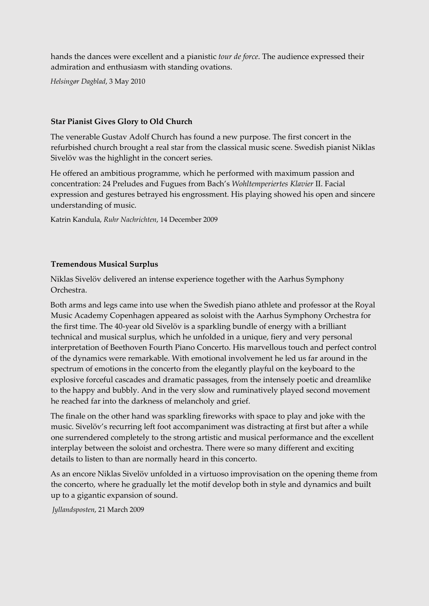hands the dances were excellent and a pianistic *tour de force*. The audience expressed their admiration and enthusiasm with standing ovations.

*Helsingør Dagblad*, 3 May 2010

## **Star Pianist Gives Glory to Old Church**

The venerable Gustav Adolf Church has found a new purpose. The first concert in the refurbished church brought a real star from the classical music scene. Swedish pianist Niklas Sivelöv was the highlight in the concert series.

He offered an ambitious programme, which he performed with maximum passion and concentration: 24 Preludes and Fugues from Bach's *Wohltemperiertes Klavier* II. Facial expression and gestures betrayed his engrossment. His playing showed his open and sincere understanding of music.

Katrin Kandula, *Ruhr Nachrichten*, 14 December 2009

## **Tremendous Musical Surplus**

Niklas Sivelöv delivered an intense experience together with the Aarhus Symphony Orchestra.

Both arms and legs came into use when the Swedish piano athlete and professor at the Royal Music Academy Copenhagen appeared as soloist with the Aarhus Symphony Orchestra for the first time. The 40-year old Sivelöv is a sparkling bundle of energy with a brilliant technical and musical surplus, which he unfolded in a unique, fiery and very personal interpretation of Beethoven Fourth Piano Concerto. His marvellous touch and perfect control of the dynamics were remarkable. With emotional involvement he led us far around in the spectrum of emotions in the concerto from the elegantly playful on the keyboard to the explosive forceful cascades and dramatic passages, from the intensely poetic and dreamlike to the happy and bubbly. And in the very slow and ruminatively played second movement he reached far into the darkness of melancholy and grief.

The finale on the other hand was sparkling fireworks with space to play and joke with the music. Sivelöv's recurring left foot accompaniment was distracting at first but after a while one surrendered completely to the strong artistic and musical performance and the excellent interplay between the soloist and orchestra. There were so many different and exciting details to listen to than are normally heard in this concerto.

As an encore Niklas Sivelöv unfolded in a virtuoso improvisation on the opening theme from the concerto, where he gradually let the motif develop both in style and dynamics and built up to a gigantic expansion of sound.

*Jyllandsposten*, 21 March 2009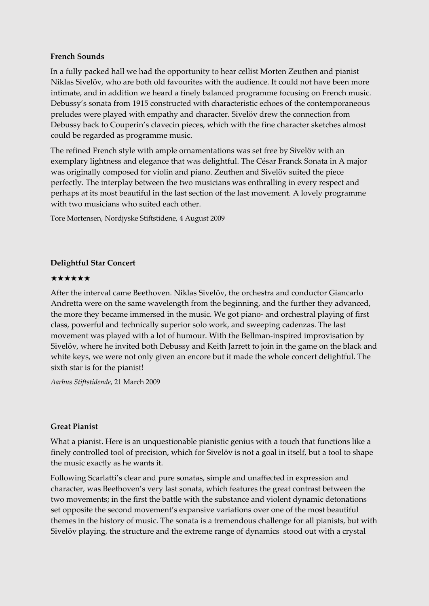## **French Sounds**

In a fully packed hall we had the opportunity to hear cellist Morten Zeuthen and pianist Niklas Sivelöv, who are both old favourites with the audience. It could not have been more intimate, and in addition we heard a finely balanced programme focusing on French music. Debussy's sonata from 1915 constructed with characteristic echoes of the contemporaneous preludes were played with empathy and character. Sivelöv drew the connection from Debussy back to Couperin's clavecin pieces, which with the fine character sketches almost could be regarded as programme music.

The refined French style with ample ornamentations was set free by Sivelöv with an exemplary lightness and elegance that was delightful. The César Franck Sonata in A major was originally composed for violin and piano. Zeuthen and Sivelöv suited the piece perfectly. The interplay between the two musicians was enthralling in every respect and perhaps at its most beautiful in the last section of the last movement. A lovely programme with two musicians who suited each other.

Tore Mortensen, Nordjyske Stiftstidene, 4 August 2009

## **Delightful Star Concert**

#### ★★★★★★

After the interval came Beethoven. Niklas Sivelöv, the orchestra and conductor Giancarlo Andretta were on the same wavelength from the beginning, and the further they advanced, the more they became immersed in the music. We got piano- and orchestral playing of first class, powerful and technically superior solo work, and sweeping cadenzas. The last movement was played with a lot of humour. With the Bellman-inspired improvisation by Sivelöv, where he invited both Debussy and Keith Jarrett to join in the game on the black and white keys, we were not only given an encore but it made the whole concert delightful. The sixth star is for the pianist!

*Aarhus Stiftstidende*, 21 March 2009

## **Great Pianist**

What a pianist. Here is an unquestionable pianistic genius with a touch that functions like a finely controlled tool of precision, which for Sivelöv is not a goal in itself, but a tool to shape the music exactly as he wants it.

Following Scarlatti's clear and pure sonatas, simple and unaffected in expression and character, was Beethoven's very last sonata, which features the great contrast between the two movements; in the first the battle with the substance and violent dynamic detonations set opposite the second movement's expansive variations over one of the most beautiful themes in the history of music. The sonata is a tremendous challenge for all pianists, but with Sivelöv playing, the structure and the extreme range of dynamics stood out with a crystal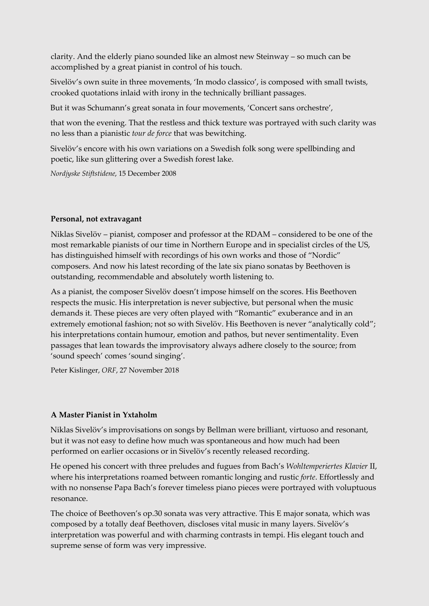clarity. And the elderly piano sounded like an almost new Steinway – so much can be accomplished by a great pianist in control of his touch.

Sivelöv's own suite in three movements, 'In modo classico', is composed with small twists, crooked quotations inlaid with irony in the technically brilliant passages.

But it was Schumann's great sonata in four movements, 'Concert sans orchestre',

that won the evening. That the restless and thick texture was portrayed with such clarity was no less than a pianistic *tour de force* that was bewitching.

Sivelöv's encore with his own variations on a Swedish folk song were spellbinding and poetic, like sun glittering over a Swedish forest lake.

*Nordjyske Stiftstidene*, 15 December 2008

## **Personal, not extravagant**

Niklas Sivelöv – pianist, composer and professor at the RDAM – considered to be one of the most remarkable pianists of our time in Northern Europe and in specialist circles of the US, has distinguished himself with recordings of his own works and those of "Nordic" composers. And now his latest recording of the late six piano sonatas by Beethoven is outstanding, recommendable and absolutely worth listening to.

As a pianist, the composer Sivelöv doesn't impose himself on the scores. His Beethoven respects the music. His interpretation is never subjective, but personal when the music demands it. These pieces are very often played with "Romantic" exuberance and in an extremely emotional fashion; not so with Sivelöv. His Beethoven is never "analytically cold"; his interpretations contain humour, emotion and pathos, but never sentimentality. Even passages that lean towards the improvisatory always adhere closely to the source; from 'sound speech' comes 'sound singing'.

Peter Kislinger, *ORF*, 27 November 2018

# **A Master Pianist in Yxtaholm**

Niklas Sivelöv's improvisations on songs by Bellman were brilliant, virtuoso and resonant, but it was not easy to define how much was spontaneous and how much had been performed on earlier occasions or in Sivelöv's recently released recording.

He opened his concert with three preludes and fugues from Bach's *Wohltemperiertes Klavier* II, where his interpretations roamed between romantic longing and rustic *forte*. Effortlessly and with no nonsense Papa Bach's forever timeless piano pieces were portrayed with voluptuous resonance.

The choice of Beethoven's op.30 sonata was very attractive. This E major sonata, which was composed by a totally deaf Beethoven, discloses vital music in many layers. Sivelöv's interpretation was powerful and with charming contrasts in tempi. His elegant touch and supreme sense of form was very impressive.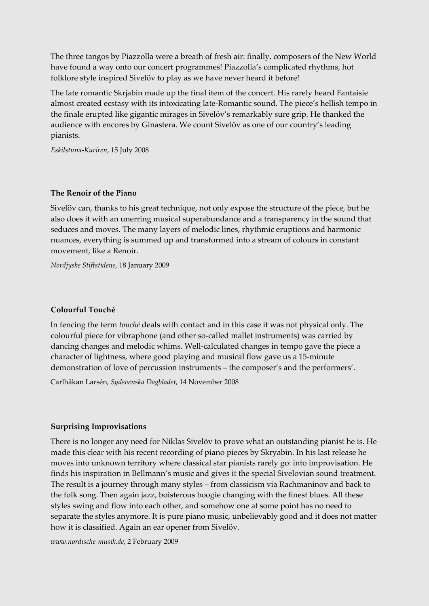The three tangos by Piazzolla were a breath of fresh air: finally, composers of the New World have found a way onto our concert programmes! Piazzolla's complicated rhythms, hot folklore style inspired Sivelöv to play as we have never heard it before!

The late romantic Skrjabin made up the final item of the concert. His rarely heard Fantaisie almost created ecstasy with its intoxicating late-Romantic sound. The piece's hellish tempo in the finale erupted like gigantic mirages in Sivelöv's remarkably sure grip. He thanked the audience with encores by Ginastera. We count Sivelöv as one of our country's leading pianists.

*Eskilstuna-Kuriren*, 15 July 2008

#### **The Renoir of the Piano**

Sivelöv can, thanks to his great technique, not only expose the structure of the piece, but he also does it with an unerring musical superabundance and a transparency in the sound that seduces and moves. The many layers of melodic lines, rhythmic eruptions and harmonic nuances, everything is summed up and transformed into a stream of colours in constant movement, like a Renoir.

*Nordjyske Stiftstidene*, 18 January 2009

## **Colourful Touché**

In fencing the term *touché* deals with contact and in this case it was not physical only. The colourful piece for vibraphone (and other so-called mallet instruments) was carried by dancing changes and melodic whims. Well-calculated changes in tempo gave the piece a character of lightness, where good playing and musical flow gave us a 15-minute demonstration of love of percussion instruments – the composer's and the performers'.

Carlhåkan Larsén, *Sydsvenska Dagbladet*, 14 November 2008

#### **Surprising Improvisations**

There is no longer any need for Niklas Sivelöv to prove what an outstanding pianist he is. He made this clear with his recent recording of piano pieces by Skryabin. In his last release he moves into unknown territory where classical star pianists rarely go: into improvisation. He finds his inspiration in Bellmann's music and gives it the special Sivelovian sound treatment. The result is a journey through many styles – from classicism via Rachmaninov and back to the folk song. Then again jazz, boisterous boogie changing with the finest blues. All these styles swing and flow into each other, and somehow one at some point has no need to separate the styles anymore. It is pure piano music, unbelievably good and it does not matter how it is classified. Again an ear opener from Sivelöv.

*www.nordische-musik.de*, 2 February 2009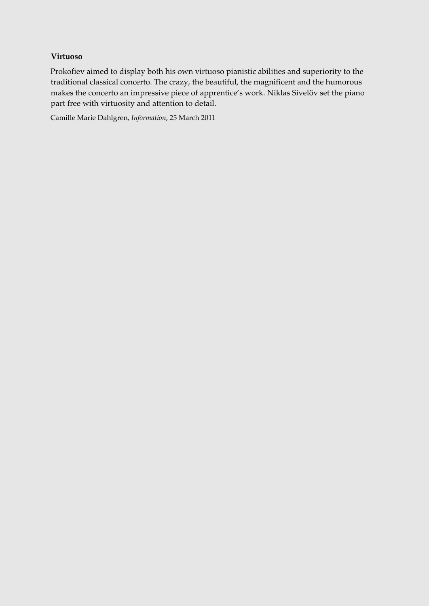# **Virtuoso**

Prokofiev aimed to display both his own virtuoso pianistic abilities and superiority to the traditional classical concerto. The crazy, the beautiful, the magnificent and the humorous makes the concerto an impressive piece of apprentice's work. Niklas Sivelöv set the piano part free with virtuosity and attention to detail.

Camille Marie Dahlgren, *Information*, 25 March 2011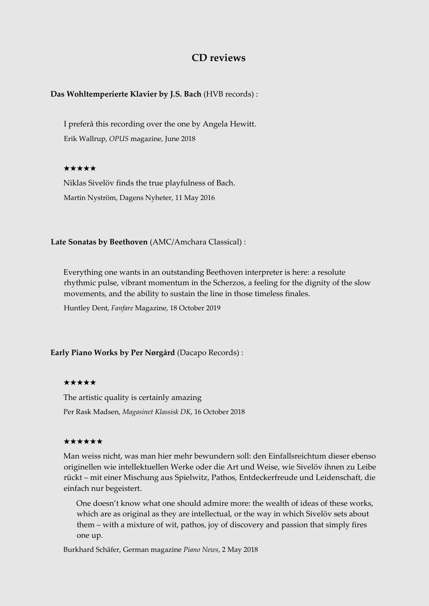# **CD reviews**

#### **Das Wohltemperierte Klavier by J.S. Bach** (HVB records) :

I preferå this recording over the one by Angela Hewitt. Erik Wallrup, *OPUS* magazine, June 2018

#### ★★★★★

Niklas Sivelöv finds the true playfulness of Bach. Martin Nyström, Dagens Nyheter, 11 May 2016

**Late Sonatas by Beethoven** (AMC/Amchara Classical) :

Everything one wants in an outstanding Beethoven interpreter is here: a resolute rhythmic pulse, vibrant momentum in the Scherzos, a feeling for the dignity of the slow movements, and the ability to sustain the line in those timeless finales.

Huntley Dent, *Fanfare* Magazine, 18 October 2019

**Early Piano Works by Per Nørgård** (Dacapo Records) :

#### ★★★★★

The artistic quality is certainly amazing Per Rask Madsen, *Magasinet Klassisk DK*, 16 October 2018

#### ★★★★★★

Man weiss nicht, was man hier mehr bewundern soll: den Einfallsreichtum dieser ebenso originellen wie intellektuellen Werke oder die Art und Weise, wie Sivelöv ihnen zu Leibe rückt – mit einer Mischung aus Spielwitz, Pathos, Entdeckerfreude und Leidenschaft, die einfach nur begeistert.

One doesn't know what one should admire more: the wealth of ideas of these works, which are as original as they are intellectual, or the way in which Sivelöv sets about them – with a mixture of wit, pathos, joy of discovery and passion that simply fires one up.

Burkhard Schäfer, German magazine *Piano News*, 2 May 2018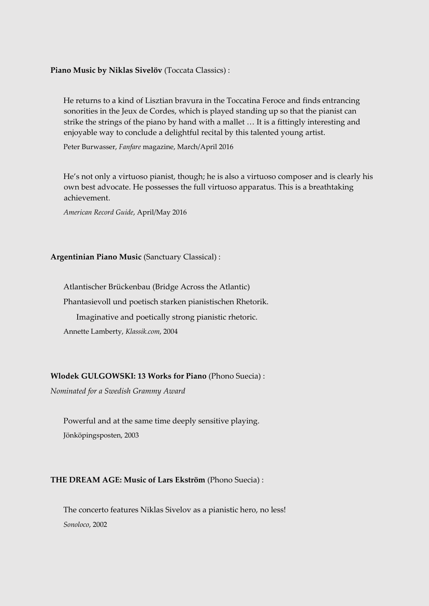#### **Piano Music by Niklas Sivelöv** (Toccata Classics) :

He returns to a kind of Lisztian bravura in the Toccatina Feroce and finds entrancing sonorities in the Jeux de Cordes, which is played standing up so that the pianist can strike the strings of the piano by hand with a mallet … It is a fittingly interesting and enjoyable way to conclude a delightful recital by this talented young artist.

Peter Burwasser, *Fanfare* magazine, March/April 2016

He's not only a virtuoso pianist, though; he is also a virtuoso composer and is clearly his own best advocate. He possesses the full virtuoso apparatus. This is a breathtaking achievement.

*American Record Guide*, April/May 2016

#### **Argentinian Piano Music** (Sanctuary Classical) :

Atlantischer Brückenbau (Bridge Across the Atlantic) Phantasievoll und poetisch starken pianistischen Rhetorik. Imaginative and poetically strong pianistic rhetoric. Annette Lamberty, *Klassik.com*, 2004

#### **Wlodek GULGOWSKI: 13 Works for Piano** (Phono Suecia) :

*Nominated for a Swedish Grammy Award* 

Powerful and at the same time deeply sensitive playing. Jönköpingsposten, 2003

#### **THE DREAM AGE: Music of Lars Ekström** (Phono Suecia) :

The concerto features Niklas Sivelov as a pianistic hero, no less! *Sonoloco*, 2002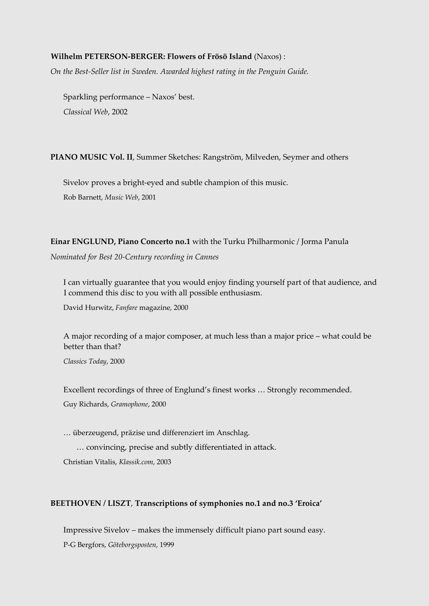#### **Wilhelm PETERSON-BERGER: Flowers of Frösö Island** (Naxos) :

*On the Best-Seller list in Sweden. Awarded highest rating in the Penguin Guide.* 

Sparkling performance – Naxos' best. *Classical Web*, 2002

**PIANO MUSIC Vol. II**, Summer Sketches: Rangström, Milveden, Seymer and others

Sivelov proves a bright-eyed and subtle champion of this music. Rob Barnett, *Music Web*, 2001

**Einar ENGLUND, Piano Concerto no.1** with the Turku Philharmonic / Jorma Panula *Nominated for Best 20-Century recording in Cannes* 

I can virtually guarantee that you would enjoy finding yourself part of that audience, and I commend this disc to you with all possible enthusiasm.

David Hurwitz, *Fanfare* magazine, 2000

A major recording of a major composer, at much less than a major price – what could be better than that?

*Classics Today*, 2000

Excellent recordings of three of Englund's finest works … Strongly recommended. Guy Richards, *Gramophone*, 2000

… überzeugend, präzise und differenziert im Anschlag.

… convincing, precise and subtly differentiated in attack.

Christian Vitalis, *Klassik.com*, 2003

#### **BEETHOVEN / LISZT**, **Transcriptions of symphonies no.1 and no.3 'Eroica'**

Impressive Sivelov – makes the immensely difficult piano part sound easy.

P-G Bergfors, *Göteborgsposten*, 1999